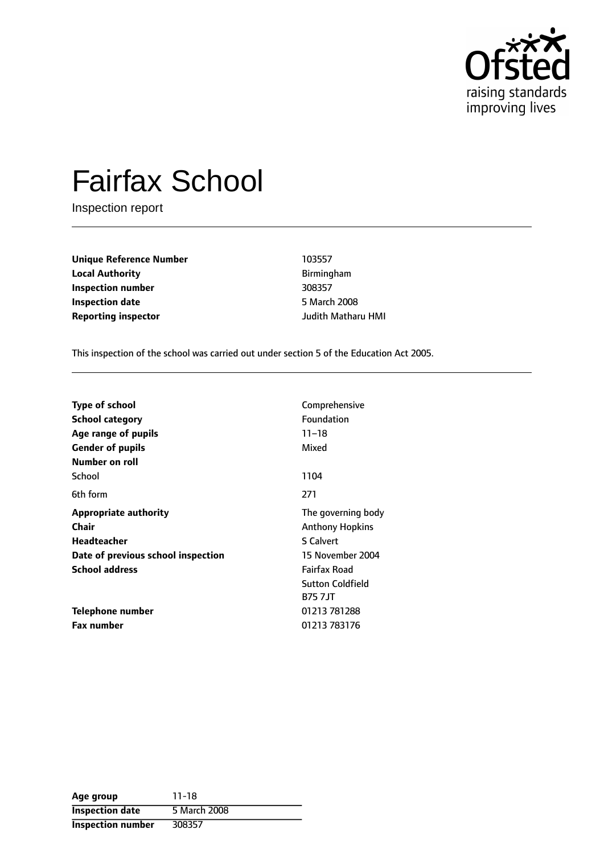

# Fairfax School

Inspection report

**Unique Reference Number** 103557 **Local Authority Birmingham Inspection number** 308357 **Inspection date** 5 March 2008 **Reporting inspector** Judith Matharu HMI

This inspection of the school was carried out under section 5 of the Education Act 2005.

| <b>Type of school</b>              | Comprehensive           |  |  |
|------------------------------------|-------------------------|--|--|
| School category                    | <b>Foundation</b>       |  |  |
| Age range of pupils                | $11 - 18$               |  |  |
| <b>Gender of pupils</b>            | Mixed                   |  |  |
| Number on roll                     |                         |  |  |
| School                             | 1104                    |  |  |
| 6th form                           | 271                     |  |  |
| <b>Appropriate authority</b>       | The governing body      |  |  |
| Chair                              | <b>Anthony Hopkins</b>  |  |  |
| <b>Headteacher</b>                 | S Calvert               |  |  |
| Date of previous school inspection | 15 November 2004        |  |  |
| <b>School address</b>              | <b>Fairfax Road</b>     |  |  |
|                                    | <b>Sutton Coldfield</b> |  |  |
|                                    | <b>B757JT</b>           |  |  |
| Telephone number                   | 01213 781288            |  |  |
| <b>Fax number</b>                  | 01213 783176            |  |  |

| Age group                | $11 - 18$    |
|--------------------------|--------------|
| <b>Inspection date</b>   | 5 March 2008 |
| <b>Inspection number</b> | 308357       |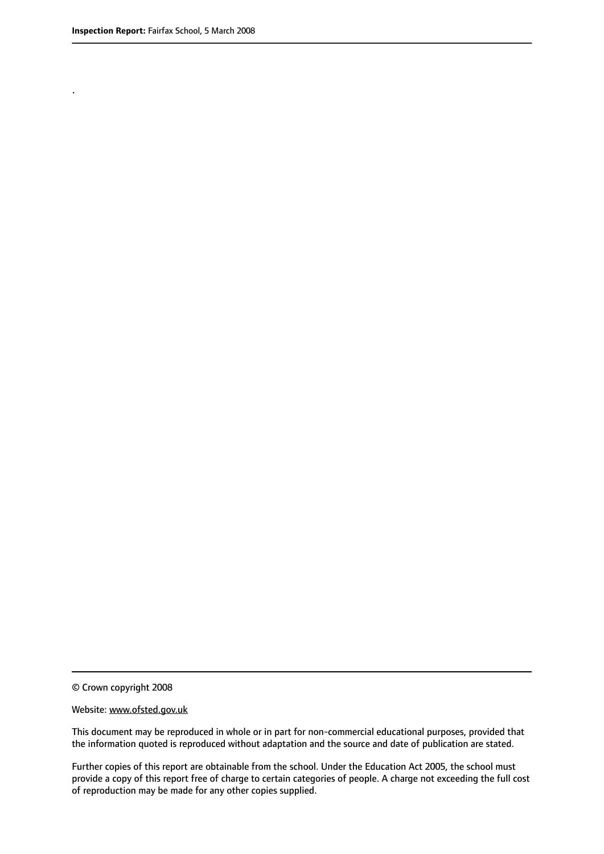.

© Crown copyright 2008

#### Website: www.ofsted.gov.uk

This document may be reproduced in whole or in part for non-commercial educational purposes, provided that the information quoted is reproduced without adaptation and the source and date of publication are stated.

Further copies of this report are obtainable from the school. Under the Education Act 2005, the school must provide a copy of this report free of charge to certain categories of people. A charge not exceeding the full cost of reproduction may be made for any other copies supplied.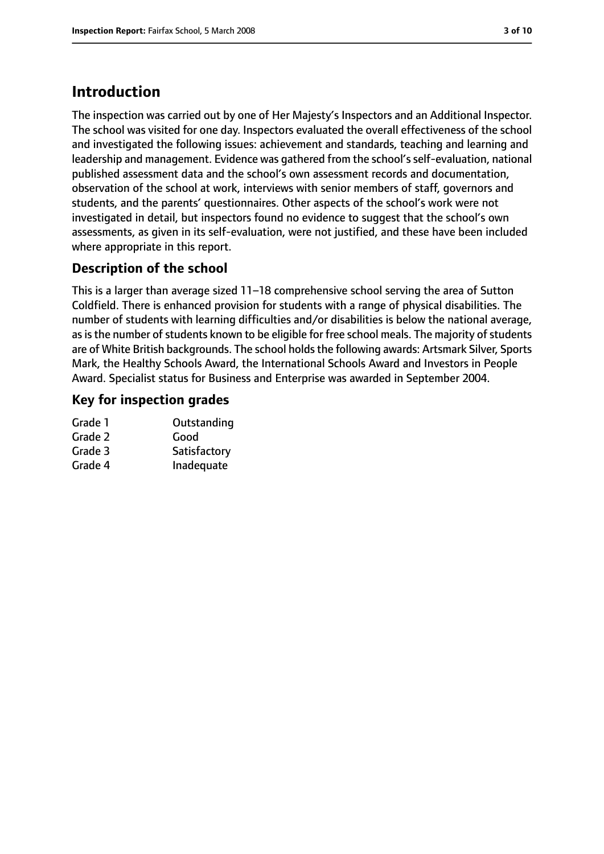# **Introduction**

The inspection was carried out by one of Her Majesty's Inspectors and an Additional Inspector. The school was visited for one day. Inspectors evaluated the overall effectiveness of the school and investigated the following issues: achievement and standards, teaching and learning and leadership and management. Evidence was gathered from the school's self-evaluation, national published assessment data and the school's own assessment records and documentation, observation of the school at work, interviews with senior members of staff, governors and students, and the parents' questionnaires. Other aspects of the school's work were not investigated in detail, but inspectors found no evidence to suggest that the school's own assessments, as given in its self-evaluation, were not justified, and these have been included where appropriate in this report.

## **Description of the school**

This is a larger than average sized  $11-18$  comprehensive school serving the area of Sutton Coldfield. There is enhanced provision for students with a range of physical disabilities. The number of students with learning difficulties and/or disabilities is below the national average, as is the number of students known to be eligible for free school meals. The majority of students are of White British backgrounds. The school holds the following awards: Artsmark Silver, Sports Mark, the Healthy Schools Award, the International Schools Award and Investors in People Award. Specialist status for Business and Enterprise was awarded in September 2004.

## **Key for inspection grades**

| Outstanding  |
|--------------|
| Good         |
| Satisfactory |
| Inadequate   |
|              |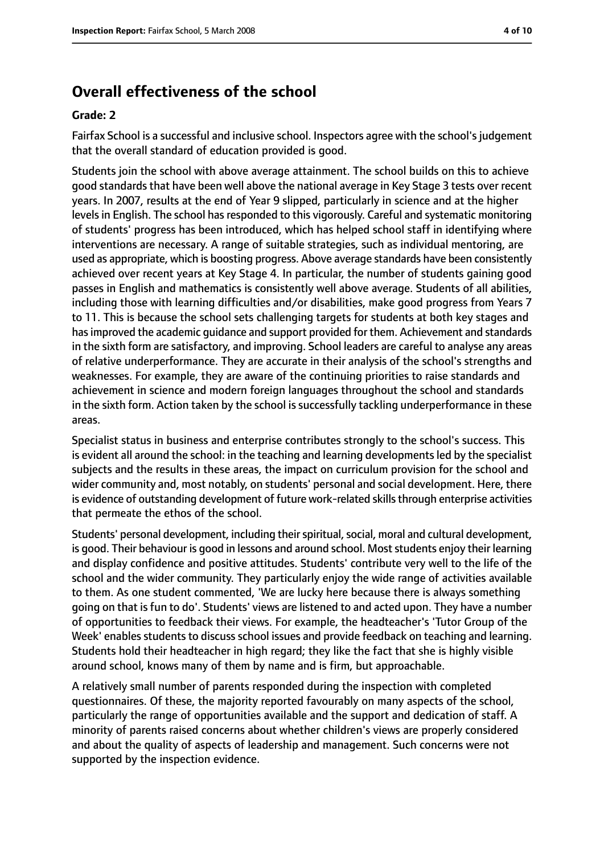# **Overall effectiveness of the school**

#### **Grade: 2**

Fairfax School is a successful and inclusive school. Inspectors agree with the school's judgement that the overall standard of education provided is good.

Students join the school with above average attainment. The school builds on this to achieve good standards that have been well above the national average in Key Stage 3 tests over recent years. In 2007, results at the end of Year 9 slipped, particularly in science and at the higher levels in English. The school has responded to this vigorously. Careful and systematic monitoring of students' progress has been introduced, which has helped school staff in identifying where interventions are necessary. A range of suitable strategies, such as individual mentoring, are used as appropriate, which is boosting progress. Above average standards have been consistently achieved over recent years at Key Stage 4. In particular, the number of students gaining good passes in English and mathematics is consistently well above average. Students of all abilities, including those with learning difficulties and/or disabilities, make good progress from Years 7 to 11. This is because the school sets challenging targets for students at both key stages and hasimproved the academic guidance and support provided for them. Achievement and standards in the sixth form are satisfactory, and improving. School leaders are careful to analyse any areas of relative underperformance. They are accurate in their analysis of the school's strengths and weaknesses. For example, they are aware of the continuing priorities to raise standards and achievement in science and modern foreign languages throughout the school and standards in the sixth form. Action taken by the school is successfully tackling underperformance in these areas.

Specialist status in business and enterprise contributes strongly to the school's success. This is evident all around the school: in the teaching and learning developments led by the specialist subjects and the results in these areas, the impact on curriculum provision for the school and wider community and, most notably, on students' personal and social development. Here, there is evidence of outstanding development of future work-related skills through enterprise activities that permeate the ethos of the school.

Students' personal development, including their spiritual, social, moral and cultural development, is good. Their behaviour is good in lessons and around school. Most students enjoy their learning and display confidence and positive attitudes. Students' contribute very well to the life of the school and the wider community. They particularly enjoy the wide range of activities available to them. As one student commented, 'We are lucky here because there is always something going on that is fun to do'. Students' views are listened to and acted upon. They have a number of opportunities to feedback their views. For example, the headteacher's 'Tutor Group of the Week' enables students to discuss school issues and provide feedback on teaching and learning. Students hold their headteacher in high regard; they like the fact that she is highly visible around school, knows many of them by name and is firm, but approachable.

A relatively small number of parents responded during the inspection with completed questionnaires. Of these, the majority reported favourably on many aspects of the school, particularly the range of opportunities available and the support and dedication of staff. A minority of parents raised concerns about whether children's views are properly considered and about the quality of aspects of leadership and management. Such concerns were not supported by the inspection evidence.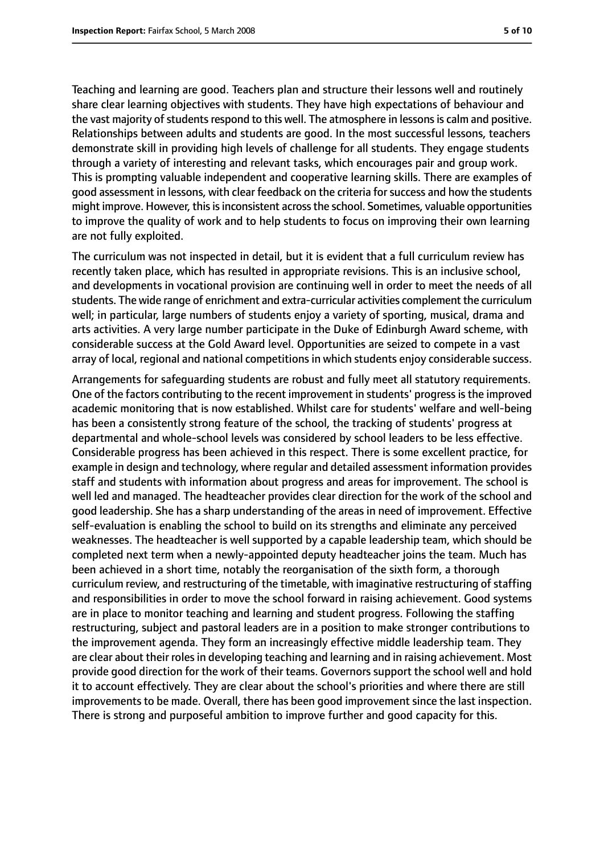Teaching and learning are good. Teachers plan and structure their lessons well and routinely share clear learning objectives with students. They have high expectations of behaviour and the vast majority of students respond to this well. The atmosphere in lessons is calm and positive. Relationships between adults and students are good. In the most successful lessons, teachers demonstrate skill in providing high levels of challenge for all students. They engage students through a variety of interesting and relevant tasks, which encourages pair and group work. This is prompting valuable independent and cooperative learning skills. There are examples of good assessment in lessons, with clear feedback on the criteria forsuccess and how the students might improve. However, this is inconsistent across the school. Sometimes, valuable opportunities to improve the quality of work and to help students to focus on improving their own learning are not fully exploited.

The curriculum was not inspected in detail, but it is evident that a full curriculum review has recently taken place, which has resulted in appropriate revisions. This is an inclusive school, and developments in vocational provision are continuing well in order to meet the needs of all students. The wide range of enrichment and extra-curricular activities complement the curriculum well; in particular, large numbers of students enjoy a variety of sporting, musical, drama and arts activities. A very large number participate in the Duke of Edinburgh Award scheme, with considerable success at the Gold Award level. Opportunities are seized to compete in a vast array of local, regional and national competitions in which students enjoy considerable success.

Arrangements for safeguarding students are robust and fully meet all statutory requirements. One of the factors contributing to the recent improvement in students' progressisthe improved academic monitoring that is now established. Whilst care for students' welfare and well-being has been a consistently strong feature of the school, the tracking of students' progress at departmental and whole-school levels was considered by school leaders to be less effective. Considerable progress has been achieved in this respect. There is some excellent practice, for example in design and technology, where regular and detailed assessment information provides staff and students with information about progress and areas for improvement. The school is well led and managed. The headteacher provides clear direction for the work of the school and good leadership. She has a sharp understanding of the areas in need of improvement. Effective self-evaluation is enabling the school to build on its strengths and eliminate any perceived weaknesses. The headteacher is well supported by a capable leadership team, which should be completed next term when a newly-appointed deputy headteacher joins the team. Much has been achieved in a short time, notably the reorganisation of the sixth form, a thorough curriculum review, and restructuring of the timetable, with imaginative restructuring of staffing and responsibilities in order to move the school forward in raising achievement. Good systems are in place to monitor teaching and learning and student progress. Following the staffing restructuring, subject and pastoral leaders are in a position to make stronger contributions to the improvement agenda. They form an increasingly effective middle leadership team. They are clear about their roles in developing teaching and learning and in raising achievement. Most provide good direction for the work of their teams. Governors support the school well and hold it to account effectively. They are clear about the school's priorities and where there are still improvements to be made. Overall, there has been good improvement since the last inspection. There is strong and purposeful ambition to improve further and good capacity for this.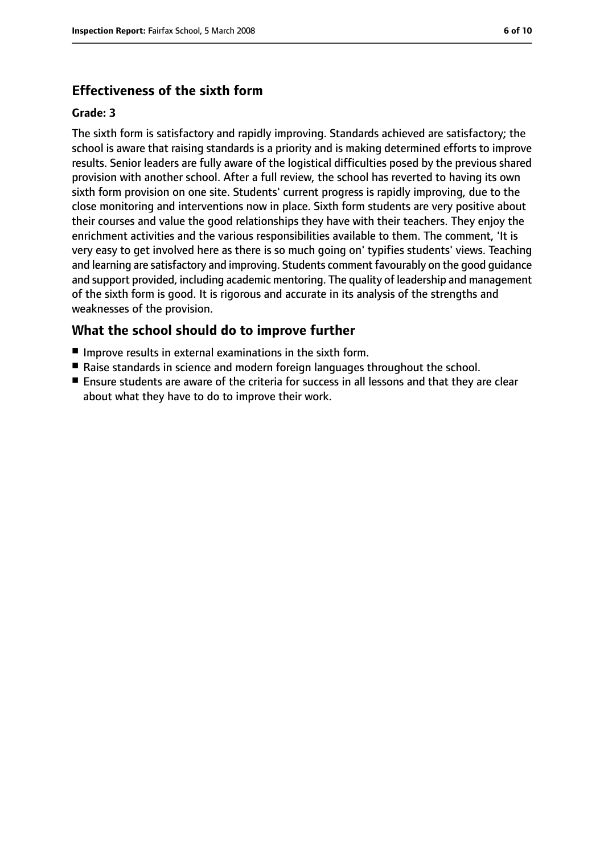## **Effectiveness of the sixth form**

#### **Grade: 3**

The sixth form is satisfactory and rapidly improving. Standards achieved are satisfactory; the school is aware that raising standards is a priority and is making determined efforts to improve results. Senior leaders are fully aware of the logistical difficulties posed by the previous shared provision with another school. After a full review, the school has reverted to having its own sixth form provision on one site. Students' current progress is rapidly improving, due to the close monitoring and interventions now in place. Sixth form students are very positive about their courses and value the good relationships they have with their teachers. They enjoy the enrichment activities and the various responsibilities available to them. The comment, 'It is very easy to get involved here as there is so much going on' typifies students' views. Teaching and learning are satisfactory and improving. Students comment favourably on the good guidance and support provided, including academic mentoring. The quality of leadership and management of the sixth form is good. It is rigorous and accurate in its analysis of the strengths and weaknesses of the provision.

## **What the school should do to improve further**

- Improve results in external examinations in the sixth form.
- Raise standards in science and modern foreign languages throughout the school.
- Ensure students are aware of the criteria for success in all lessons and that they are clear about what they have to do to improve their work.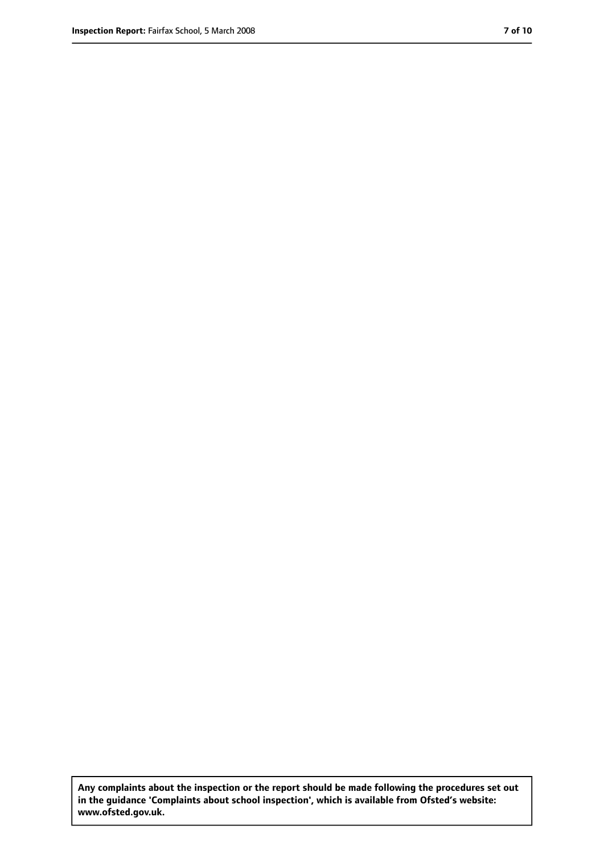**Any complaints about the inspection or the report should be made following the procedures set out in the guidance 'Complaints about school inspection', which is available from Ofsted's website: www.ofsted.gov.uk.**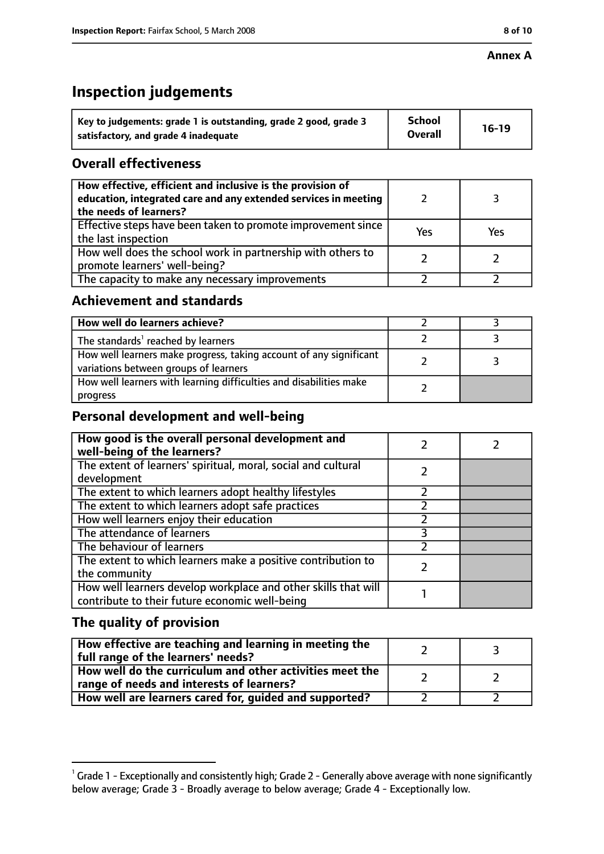# **Inspection judgements**

| Key to judgements: grade 1 is outstanding, grade 2 good, grade 3 | School         | $16-19$ |
|------------------------------------------------------------------|----------------|---------|
| satisfactory, and grade 4 inadequate                             | <b>Overall</b> |         |

## **Overall effectiveness**

| How effective, efficient and inclusive is the provision of<br>education, integrated care and any extended services in meeting<br>the needs of learners? |     |     |
|---------------------------------------------------------------------------------------------------------------------------------------------------------|-----|-----|
| Effective steps have been taken to promote improvement since<br>the last inspection                                                                     | Yes | Yes |
| How well does the school work in partnership with others to<br>promote learners' well-being?                                                            |     |     |
| The capacity to make any necessary improvements                                                                                                         |     |     |

## **Achievement and standards**

| How well do learners achieve?                                                                               |  |
|-------------------------------------------------------------------------------------------------------------|--|
| The standards <sup>1</sup> reached by learners                                                              |  |
| How well learners make progress, taking account of any significant<br>variations between groups of learners |  |
| How well learners with learning difficulties and disabilities make<br>progress                              |  |

## **Personal development and well-being**

| How good is the overall personal development and<br>well-being of the learners?                                  |  |
|------------------------------------------------------------------------------------------------------------------|--|
| The extent of learners' spiritual, moral, social and cultural                                                    |  |
| development                                                                                                      |  |
| The extent to which learners adopt healthy lifestyles                                                            |  |
| The extent to which learners adopt safe practices                                                                |  |
| How well learners enjoy their education                                                                          |  |
| The attendance of learners                                                                                       |  |
| The behaviour of learners                                                                                        |  |
| The extent to which learners make a positive contribution to<br>the community                                    |  |
| How well learners develop workplace and other skills that will<br>contribute to their future economic well-being |  |

## **The quality of provision**

| How effective are teaching and learning in meeting the<br>full range of the learners' needs?          |  |
|-------------------------------------------------------------------------------------------------------|--|
| How well do the curriculum and other activities meet the<br>range of needs and interests of learners? |  |
| How well are learners cared for, guided and supported?                                                |  |

 $^1$  Grade 1 - Exceptionally and consistently high; Grade 2 - Generally above average with none significantly below average; Grade 3 - Broadly average to below average; Grade 4 - Exceptionally low.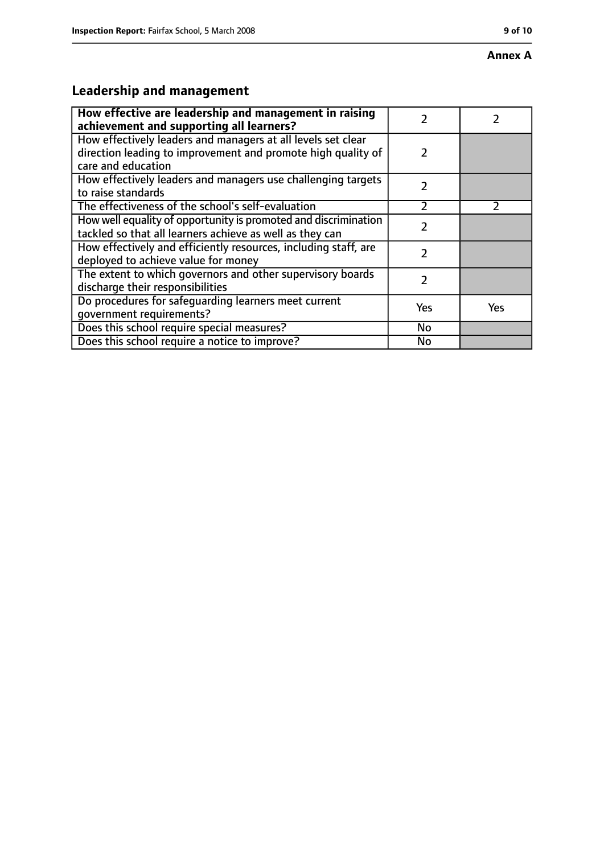#### **Annex A**

# **Leadership and management**

| How effective are leadership and management in raising<br>achievement and supporting all learners?                                                 | 7             |               |
|----------------------------------------------------------------------------------------------------------------------------------------------------|---------------|---------------|
| How effectively leaders and managers at all levels set clear<br>direction leading to improvement and promote high quality of<br>care and education | $\mathcal{P}$ |               |
| How effectively leaders and managers use challenging targets<br>to raise standards                                                                 | $\mathcal{P}$ |               |
| The effectiveness of the school's self-evaluation                                                                                                  | $\mathcal{P}$ | $\mathcal{P}$ |
| How well equality of opportunity is promoted and discrimination<br>tackled so that all learners achieve as well as they can                        | 7             |               |
| How effectively and efficiently resources, including staff, are<br>deployed to achieve value for money                                             | 2             |               |
| The extent to which governors and other supervisory boards<br>discharge their responsibilities                                                     | 7             |               |
| Do procedures for safequarding learners meet current<br>qovernment requirements?                                                                   | Yes           | Yes           |
| Does this school require special measures?                                                                                                         | No            |               |
| Does this school require a notice to improve?                                                                                                      | No            |               |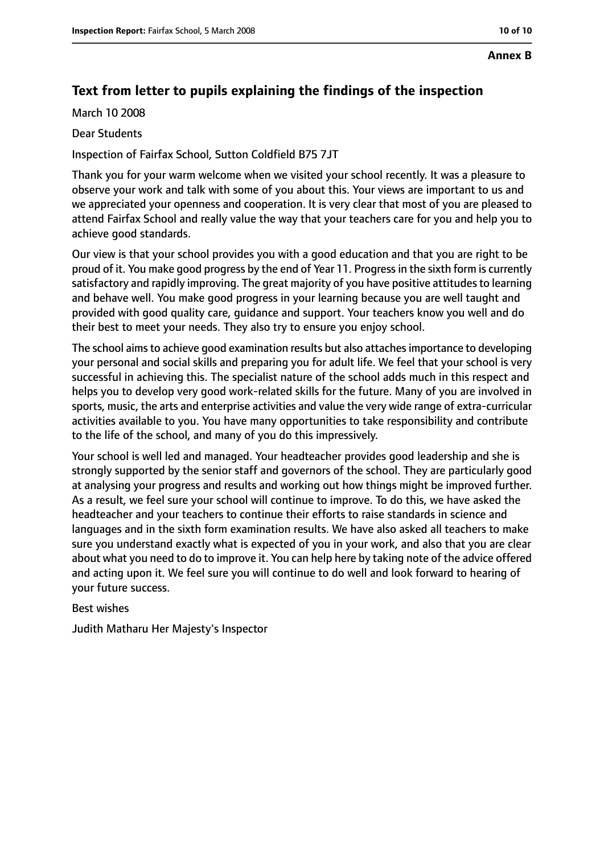#### **Annex B**

## **Text from letter to pupils explaining the findings of the inspection**

March 10 2008

#### Dear Students

Inspection of Fairfax School, Sutton Coldfield B75 7JT

Thank you for your warm welcome when we visited your school recently. It was a pleasure to observe your work and talk with some of you about this. Your views are important to us and we appreciated your openness and cooperation. It is very clear that most of you are pleased to attend Fairfax School and really value the way that your teachers care for you and help you to achieve good standards.

Our view is that your school provides you with a good education and that you are right to be proud of it. You make good progress by the end of Year 11. Progressin the sixth form is currently satisfactory and rapidly improving. The great majority of you have positive attitudes to learning and behave well. You make good progress in your learning because you are well taught and provided with good quality care, guidance and support. Your teachers know you well and do their best to meet your needs. They also try to ensure you enjoy school.

The school aims to achieve good examination results but also attaches importance to developing your personal and social skills and preparing you for adult life. We feel that your school is very successful in achieving this. The specialist nature of the school adds much in this respect and helps you to develop very good work-related skills for the future. Many of you are involved in sports, music, the arts and enterprise activities and value the very wide range of extra-curricular activities available to you. You have many opportunities to take responsibility and contribute to the life of the school, and many of you do this impressively.

Your school is well led and managed. Your headteacher provides good leadership and she is strongly supported by the senior staff and governors of the school. They are particularly good at analysing your progress and results and working out how things might be improved further. As a result, we feel sure your school will continue to improve. To do this, we have asked the headteacher and your teachers to continue their efforts to raise standards in science and languages and in the sixth form examination results. We have also asked all teachers to make sure you understand exactly what is expected of you in your work, and also that you are clear about what you need to do to improve it. You can help here by taking note of the advice offered and acting upon it. We feel sure you will continue to do well and look forward to hearing of your future success.

#### Best wishes

Judith Matharu Her Majesty's Inspector